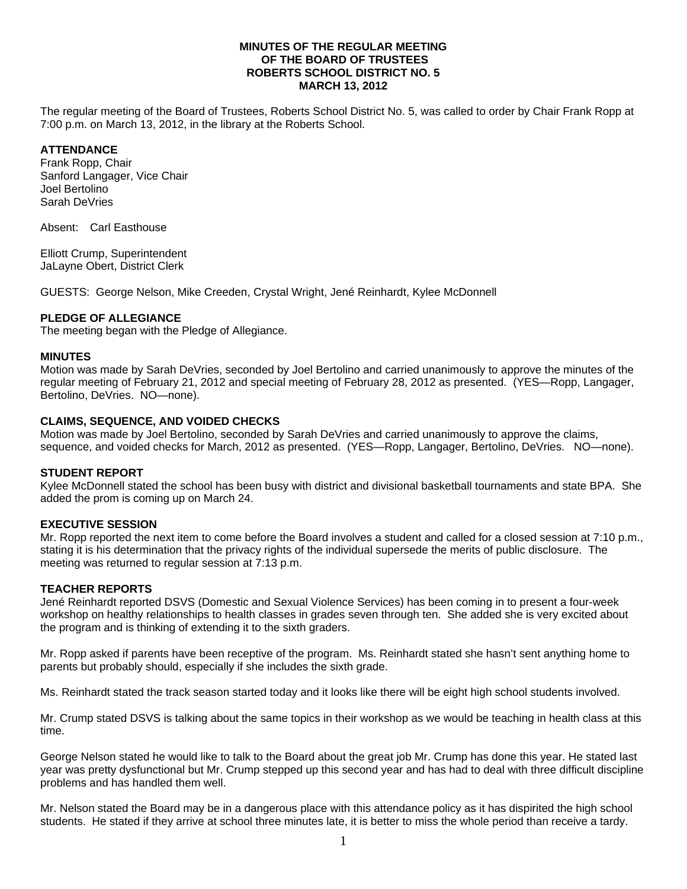## **MINUTES OF THE REGULAR MEETING OF THE BOARD OF TRUSTEES ROBERTS SCHOOL DISTRICT NO. 5 MARCH 13, 2012**

The regular meeting of the Board of Trustees, Roberts School District No. 5, was called to order by Chair Frank Ropp at 7:00 p.m. on March 13, 2012, in the library at the Roberts School.

# **ATTENDANCE**

Frank Ropp, Chair Sanford Langager, Vice Chair Joel Bertolino Sarah DeVries

Absent: Carl Easthouse

Elliott Crump, Superintendent JaLayne Obert, District Clerk

GUESTS: George Nelson, Mike Creeden, Crystal Wright, Jené Reinhardt, Kylee McDonnell

## **PLEDGE OF ALLEGIANCE**

The meeting began with the Pledge of Allegiance.

#### **MINUTES**

Motion was made by Sarah DeVries, seconded by Joel Bertolino and carried unanimously to approve the minutes of the regular meeting of February 21, 2012 and special meeting of February 28, 2012 as presented. (YES—Ropp, Langager, Bertolino, DeVries. NO—none).

#### **CLAIMS, SEQUENCE, AND VOIDED CHECKS**

Motion was made by Joel Bertolino, seconded by Sarah DeVries and carried unanimously to approve the claims, sequence, and voided checks for March, 2012 as presented. (YES—Ropp, Langager, Bertolino, DeVries. NO—none).

## **STUDENT REPORT**

Kylee McDonnell stated the school has been busy with district and divisional basketball tournaments and state BPA. She added the prom is coming up on March 24.

## **EXECUTIVE SESSION**

Mr. Ropp reported the next item to come before the Board involves a student and called for a closed session at 7:10 p.m., stating it is his determination that the privacy rights of the individual supersede the merits of public disclosure. The meeting was returned to regular session at 7:13 p.m.

## **TEACHER REPORTS**

Jené Reinhardt reported DSVS (Domestic and Sexual Violence Services) has been coming in to present a four-week workshop on healthy relationships to health classes in grades seven through ten. She added she is very excited about the program and is thinking of extending it to the sixth graders.

Mr. Ropp asked if parents have been receptive of the program. Ms. Reinhardt stated she hasn't sent anything home to parents but probably should, especially if she includes the sixth grade.

Ms. Reinhardt stated the track season started today and it looks like there will be eight high school students involved.

Mr. Crump stated DSVS is talking about the same topics in their workshop as we would be teaching in health class at this time.

George Nelson stated he would like to talk to the Board about the great job Mr. Crump has done this year. He stated last year was pretty dysfunctional but Mr. Crump stepped up this second year and has had to deal with three difficult discipline problems and has handled them well.

Mr. Nelson stated the Board may be in a dangerous place with this attendance policy as it has dispirited the high school students. He stated if they arrive at school three minutes late, it is better to miss the whole period than receive a tardy.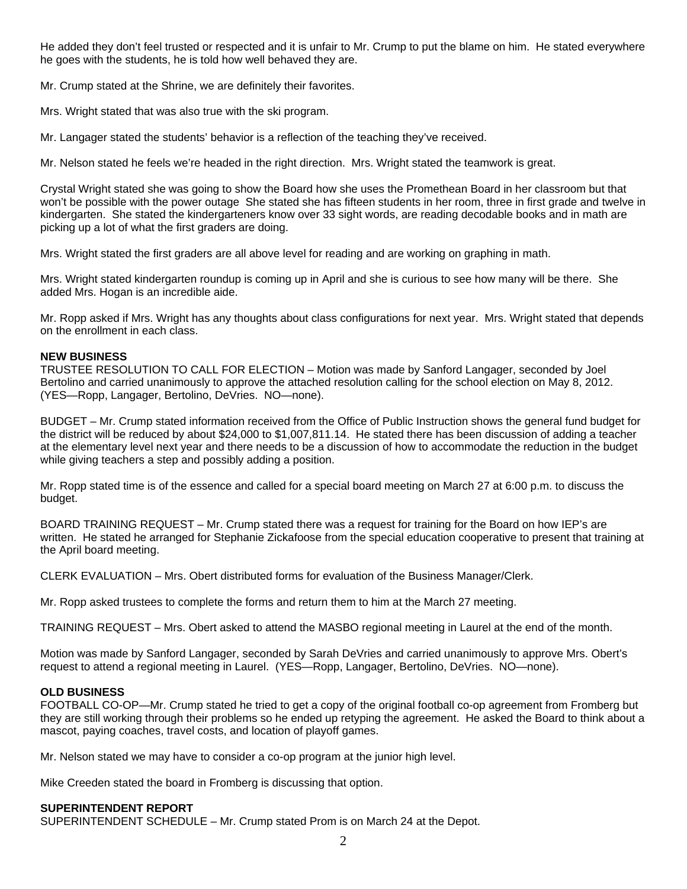He added they don't feel trusted or respected and it is unfair to Mr. Crump to put the blame on him. He stated everywhere he goes with the students, he is told how well behaved they are.

Mr. Crump stated at the Shrine, we are definitely their favorites.

Mrs. Wright stated that was also true with the ski program.

Mr. Langager stated the students' behavior is a reflection of the teaching they've received.

Mr. Nelson stated he feels we're headed in the right direction. Mrs. Wright stated the teamwork is great.

Crystal Wright stated she was going to show the Board how she uses the Promethean Board in her classroom but that won't be possible with the power outage She stated she has fifteen students in her room, three in first grade and twelve in kindergarten. She stated the kindergarteners know over 33 sight words, are reading decodable books and in math are picking up a lot of what the first graders are doing.

Mrs. Wright stated the first graders are all above level for reading and are working on graphing in math.

Mrs. Wright stated kindergarten roundup is coming up in April and she is curious to see how many will be there. She added Mrs. Hogan is an incredible aide.

Mr. Ropp asked if Mrs. Wright has any thoughts about class configurations for next year. Mrs. Wright stated that depends on the enrollment in each class.

## **NEW BUSINESS**

TRUSTEE RESOLUTION TO CALL FOR ELECTION – Motion was made by Sanford Langager, seconded by Joel Bertolino and carried unanimously to approve the attached resolution calling for the school election on May 8, 2012. (YES—Ropp, Langager, Bertolino, DeVries. NO—none).

BUDGET – Mr. Crump stated information received from the Office of Public Instruction shows the general fund budget for the district will be reduced by about \$24,000 to \$1,007,811.14. He stated there has been discussion of adding a teacher at the elementary level next year and there needs to be a discussion of how to accommodate the reduction in the budget while giving teachers a step and possibly adding a position.

Mr. Ropp stated time is of the essence and called for a special board meeting on March 27 at 6:00 p.m. to discuss the budget.

BOARD TRAINING REQUEST – Mr. Crump stated there was a request for training for the Board on how IEP's are written. He stated he arranged for Stephanie Zickafoose from the special education cooperative to present that training at the April board meeting.

CLERK EVALUATION – Mrs. Obert distributed forms for evaluation of the Business Manager/Clerk.

Mr. Ropp asked trustees to complete the forms and return them to him at the March 27 meeting.

TRAINING REQUEST – Mrs. Obert asked to attend the MASBO regional meeting in Laurel at the end of the month.

Motion was made by Sanford Langager, seconded by Sarah DeVries and carried unanimously to approve Mrs. Obert's request to attend a regional meeting in Laurel. (YES—Ropp, Langager, Bertolino, DeVries. NO—none).

## **OLD BUSINESS**

FOOTBALL CO-OP—Mr. Crump stated he tried to get a copy of the original football co-op agreement from Fromberg but they are still working through their problems so he ended up retyping the agreement. He asked the Board to think about a mascot, paying coaches, travel costs, and location of playoff games.

Mr. Nelson stated we may have to consider a co-op program at the junior high level.

Mike Creeden stated the board in Fromberg is discussing that option.

## **SUPERINTENDENT REPORT**

SUPERINTENDENT SCHEDULE – Mr. Crump stated Prom is on March 24 at the Depot.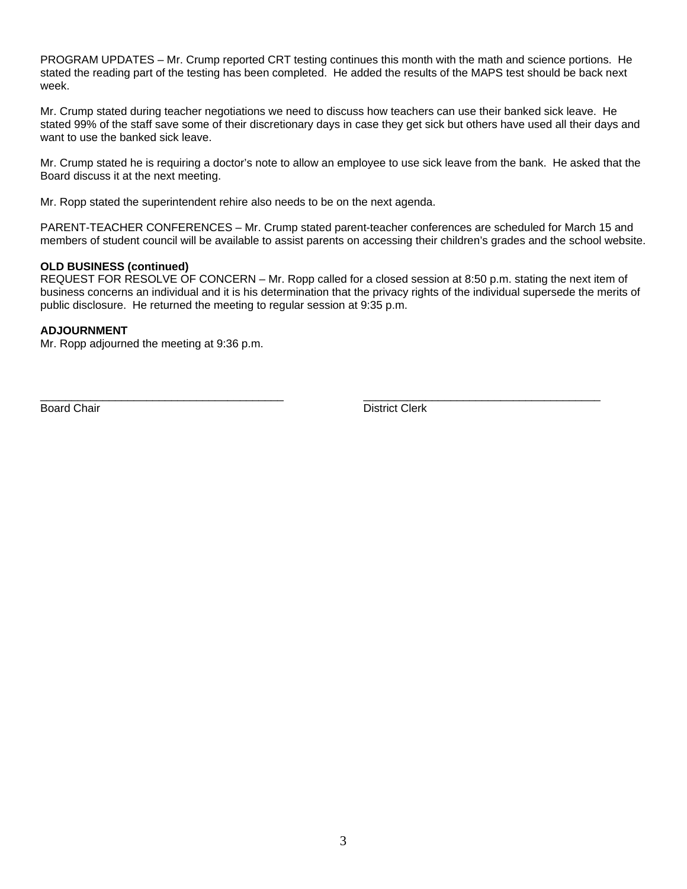PROGRAM UPDATES – Mr. Crump reported CRT testing continues this month with the math and science portions. He stated the reading part of the testing has been completed. He added the results of the MAPS test should be back next week.

Mr. Crump stated during teacher negotiations we need to discuss how teachers can use their banked sick leave. He stated 99% of the staff save some of their discretionary days in case they get sick but others have used all their days and want to use the banked sick leave.

Mr. Crump stated he is requiring a doctor's note to allow an employee to use sick leave from the bank. He asked that the Board discuss it at the next meeting.

Mr. Ropp stated the superintendent rehire also needs to be on the next agenda.

PARENT-TEACHER CONFERENCES – Mr. Crump stated parent-teacher conferences are scheduled for March 15 and members of student council will be available to assist parents on accessing their children's grades and the school website.

#### **OLD BUSINESS (continued)**

REQUEST FOR RESOLVE OF CONCERN – Mr. Ropp called for a closed session at 8:50 p.m. stating the next item of business concerns an individual and it is his determination that the privacy rights of the individual supersede the merits of public disclosure. He returned the meeting to regular session at 9:35 p.m.

\_\_\_\_\_\_\_\_\_\_\_\_\_\_\_\_\_\_\_\_\_\_\_\_\_\_\_\_\_\_\_\_\_\_\_\_\_\_\_ \_\_\_\_\_\_\_\_\_\_\_\_\_\_\_\_\_\_\_\_\_\_\_\_\_\_\_\_\_\_\_\_\_\_\_\_\_\_

#### **ADJOURNMENT**

Mr. Ropp adjourned the meeting at 9:36 p.m.

Board Chair **District Clerk**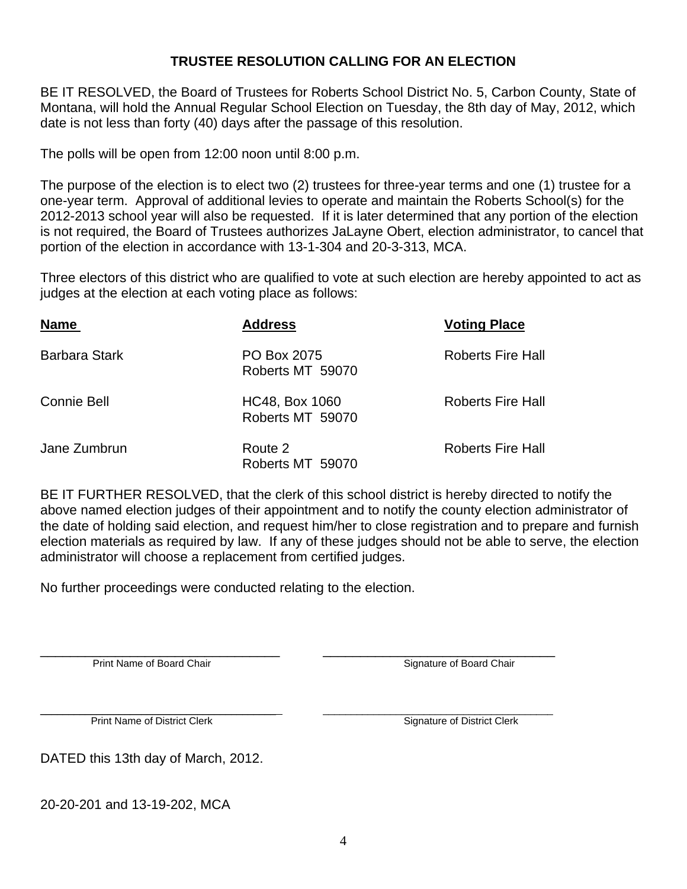# **TRUSTEE RESOLUTION CALLING FOR AN ELECTION**

BE IT RESOLVED, the Board of Trustees for Roberts School District No. 5, Carbon County, State of Montana, will hold the Annual Regular School Election on Tuesday, the 8th day of May, 2012, which date is not less than forty (40) days after the passage of this resolution.

The polls will be open from 12:00 noon until 8:00 p.m.

The purpose of the election is to elect two (2) trustees for three-year terms and one (1) trustee for a one-year term. Approval of additional levies to operate and maintain the Roberts School(s) for the 2012-2013 school year will also be requested. If it is later determined that any portion of the election is not required, the Board of Trustees authorizes JaLayne Obert, election administrator, to cancel that portion of the election in accordance with 13-1-304 and 20-3-313, MCA.

Three electors of this district who are qualified to vote at such election are hereby appointed to act as judges at the election at each voting place as follows:

| <b>Name</b>          | <b>Address</b>                     | <b>Voting Place</b>      |
|----------------------|------------------------------------|--------------------------|
| <b>Barbara Stark</b> | PO Box 2075<br>Roberts MT 59070    | <b>Roberts Fire Hall</b> |
| <b>Connie Bell</b>   | HC48, Box 1060<br>Roberts MT 59070 | <b>Roberts Fire Hall</b> |
| Jane Zumbrun         | Route 2<br>Roberts MT 59070        | <b>Roberts Fire Hall</b> |

BE IT FURTHER RESOLVED, that the clerk of this school district is hereby directed to notify the above named election judges of their appointment and to notify the county election administrator of the date of holding said election, and request him/her to close registration and to prepare and furnish election materials as required by law. If any of these judges should not be able to serve, the election administrator will choose a replacement from certified judges.

No further proceedings were conducted relating to the election.

Print Name of Board Chair **Development Chair Signature of Board Chair** Signature of Board Chair

\_\_\_\_\_\_\_\_\_\_\_\_\_\_\_\_\_\_\_\_\_\_\_\_\_\_\_\_\_\_\_\_\_\_\_\_\_\_\_\_\_\_ \_\_\_\_\_\_\_\_\_\_\_\_\_\_\_\_\_\_\_\_\_\_\_\_\_\_\_\_\_\_\_\_\_\_\_\_\_\_\_\_\_ Print Name of District Clerk Signature of District Clerk

DATED this 13th day of March, 2012.

20-20-201 and 13-19-202, MCA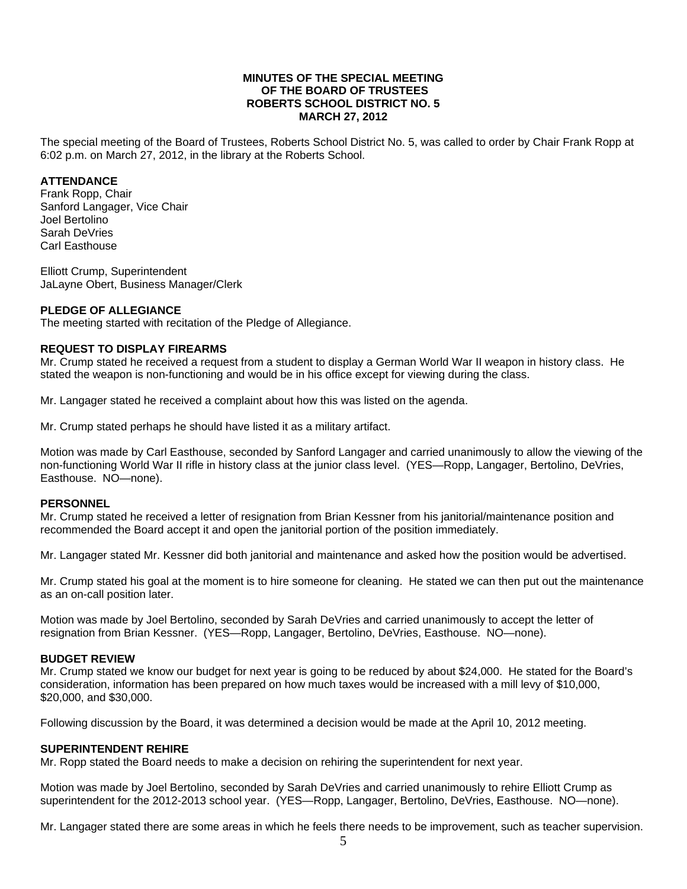## **MINUTES OF THE SPECIAL MEETING OF THE BOARD OF TRUSTEES ROBERTS SCHOOL DISTRICT NO. 5 MARCH 27, 2012**

The special meeting of the Board of Trustees, Roberts School District No. 5, was called to order by Chair Frank Ropp at 6:02 p.m. on March 27, 2012, in the library at the Roberts School.

## **ATTENDANCE**

Frank Ropp, Chair Sanford Langager, Vice Chair Joel Bertolino Sarah DeVries Carl Easthouse

Elliott Crump, Superintendent JaLayne Obert, Business Manager/Clerk

## **PLEDGE OF ALLEGIANCE**

The meeting started with recitation of the Pledge of Allegiance.

## **REQUEST TO DISPLAY FIREARMS**

Mr. Crump stated he received a request from a student to display a German World War II weapon in history class. He stated the weapon is non-functioning and would be in his office except for viewing during the class.

Mr. Langager stated he received a complaint about how this was listed on the agenda.

Mr. Crump stated perhaps he should have listed it as a military artifact.

Motion was made by Carl Easthouse, seconded by Sanford Langager and carried unanimously to allow the viewing of the non-functioning World War II rifle in history class at the junior class level. (YES—Ropp, Langager, Bertolino, DeVries, Easthouse. NO—none).

## **PERSONNEL**

Mr. Crump stated he received a letter of resignation from Brian Kessner from his janitorial/maintenance position and recommended the Board accept it and open the janitorial portion of the position immediately.

Mr. Langager stated Mr. Kessner did both janitorial and maintenance and asked how the position would be advertised.

Mr. Crump stated his goal at the moment is to hire someone for cleaning. He stated we can then put out the maintenance as an on-call position later.

Motion was made by Joel Bertolino, seconded by Sarah DeVries and carried unanimously to accept the letter of resignation from Brian Kessner. (YES—Ropp, Langager, Bertolino, DeVries, Easthouse. NO—none).

## **BUDGET REVIEW**

Mr. Crump stated we know our budget for next year is going to be reduced by about \$24,000. He stated for the Board's consideration, information has been prepared on how much taxes would be increased with a mill levy of \$10,000, \$20,000, and \$30,000.

Following discussion by the Board, it was determined a decision would be made at the April 10, 2012 meeting.

## **SUPERINTENDENT REHIRE**

Mr. Ropp stated the Board needs to make a decision on rehiring the superintendent for next year.

Motion was made by Joel Bertolino, seconded by Sarah DeVries and carried unanimously to rehire Elliott Crump as superintendent for the 2012-2013 school year. (YES—Ropp, Langager, Bertolino, DeVries, Easthouse. NO—none).

Mr. Langager stated there are some areas in which he feels there needs to be improvement, such as teacher supervision.